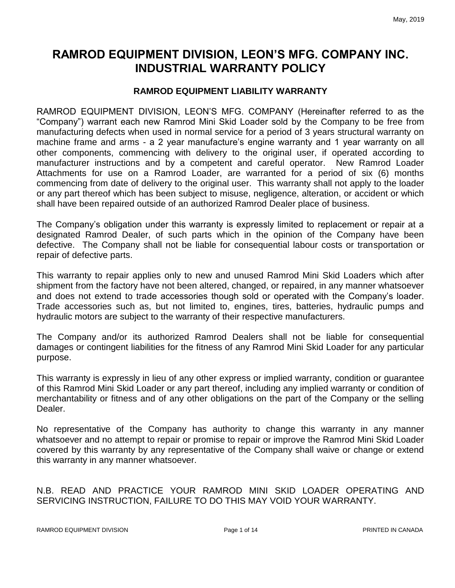# **RAMROD EQUIPMENT DIVISION, LEON'S MFG. COMPANY INC. INDUSTRIAL WARRANTY POLICY**

#### **RAMROD EQUIPMENT LIABILITY WARRANTY**

RAMROD EQUIPMENT DIVISION, LEON'S MFG. COMPANY (Hereinafter referred to as the "Company") warrant each new Ramrod Mini Skid Loader sold by the Company to be free from manufacturing defects when used in normal service for a period of 3 years structural warranty on machine frame and arms - a 2 year manufacture's engine warranty and 1 year warranty on all other components, commencing with delivery to the original user, if operated according to manufacturer instructions and by a competent and careful operator. New Ramrod Loader Attachments for use on a Ramrod Loader, are warranted for a period of six (6) months commencing from date of delivery to the original user. This warranty shall not apply to the loader or any part thereof which has been subject to misuse, negligence, alteration, or accident or which shall have been repaired outside of an authorized Ramrod Dealer place of business.

The Company's obligation under this warranty is expressly limited to replacement or repair at a designated Ramrod Dealer, of such parts which in the opinion of the Company have been defective. The Company shall not be liable for consequential labour costs or transportation or repair of defective parts.

This warranty to repair applies only to new and unused Ramrod Mini Skid Loaders which after shipment from the factory have not been altered, changed, or repaired, in any manner whatsoever and does not extend to trade accessories though sold or operated with the Company's loader. Trade accessories such as, but not limited to, engines, tires, batteries, hydraulic pumps and hydraulic motors are subject to the warranty of their respective manufacturers.

The Company and/or its authorized Ramrod Dealers shall not be liable for consequential damages or contingent liabilities for the fitness of any Ramrod Mini Skid Loader for any particular purpose.

This warranty is expressly in lieu of any other express or implied warranty, condition or guarantee of this Ramrod Mini Skid Loader or any part thereof, including any implied warranty or condition of merchantability or fitness and of any other obligations on the part of the Company or the selling Dealer.

No representative of the Company has authority to change this warranty in any manner whatsoever and no attempt to repair or promise to repair or improve the Ramrod Mini Skid Loader covered by this warranty by any representative of the Company shall waive or change or extend this warranty in any manner whatsoever.

#### N.B. READ AND PRACTICE YOUR RAMROD MINI SKID LOADER OPERATING AND SERVICING INSTRUCTION, FAILURE TO DO THIS MAY VOID YOUR WARRANTY.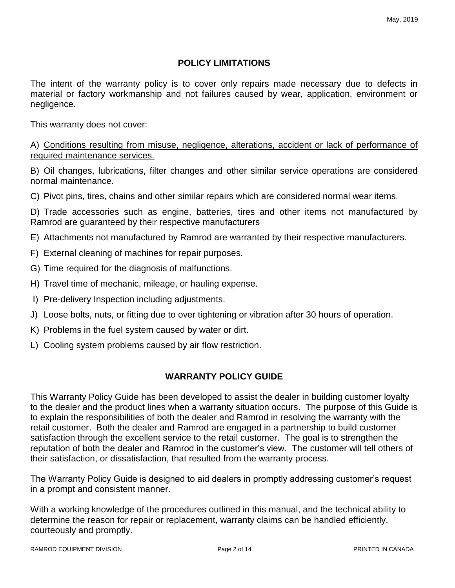#### **POLICY LIMITATIONS**

The intent of the warranty policy is to cover only repairs made necessary due to defects in material or factory workmanship and not failures caused by wear, application, environment or negligence.

This warranty does not cover:

A) Conditions resulting from misuse, negligence, alterations, accident or lack of performance of required maintenance services.

B) Oil changes, lubrications, filter changes and other similar service operations are considered normal maintenance.

C) Pivot pins, tires, chains and other similar repairs which are considered normal wear items.

D) Trade accessories such as engine, batteries, tires and other items not manufactured by Ramrod are guaranteed by their respective manufacturers

E) Attachments not manufactured by Ramrod are warranted by their respective manufacturers.

- F) External cleaning of machines for repair purposes.
- G) Time required for the diagnosis of malfunctions.
- H) Travel time of mechanic, mileage, or hauling expense.
- I) Pre-delivery Inspection including adjustments.
- J) Loose bolts, nuts, or fitting due to over tightening or vibration after 30 hours of operation.
- K) Problems in the fuel system caused by water or dirt.
- L) Cooling system problems caused by air flow restriction.

#### **WARRANTY POLICY GUIDE**

This Warranty Policy Guide has been developed to assist the dealer in building customer loyalty to the dealer and the product lines when a warranty situation occurs. The purpose of this Guide is to explain the responsibilities of both the dealer and Ramrod in resolving the warranty with the retail customer. Both the dealer and Ramrod are engaged in a partnership to build customer satisfaction through the excellent service to the retail customer. The goal is to strengthen the reputation of both the dealer and Ramrod in the customer's view. The customer will tell others of their satisfaction, or dissatisfaction, that resulted from the warranty process.

The Warranty Policy Guide is designed to aid dealers in promptly addressing customer's request in a prompt and consistent manner.

With a working knowledge of the procedures outlined in this manual, and the technical ability to determine the reason for repair or replacement, warranty claims can be handled efficiently, courteously and promptly.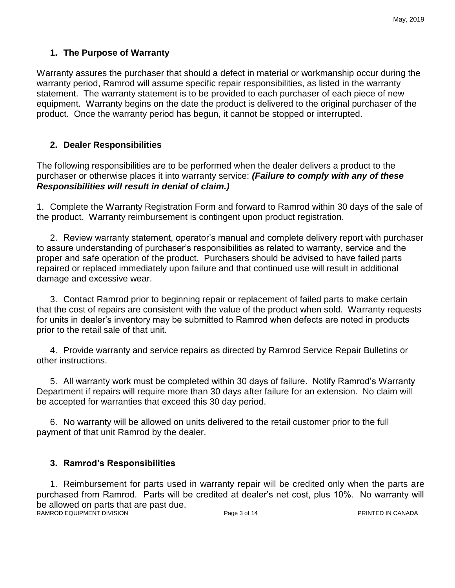## **1. The Purpose of Warranty**

Warranty assures the purchaser that should a defect in material or workmanship occur during the warranty period, Ramrod will assume specific repair responsibilities, as listed in the warranty statement. The warranty statement is to be provided to each purchaser of each piece of new equipment. Warranty begins on the date the product is delivered to the original purchaser of the product. Once the warranty period has begun, it cannot be stopped or interrupted.

## **2. Dealer Responsibilities**

The following responsibilities are to be performed when the dealer delivers a product to the purchaser or otherwise places it into warranty service: *(Failure to comply with any of these Responsibilities will result in denial of claim.)*

1. Complete the Warranty Registration Form and forward to Ramrod within 30 days of the sale of the product. Warranty reimbursement is contingent upon product registration.

2. Review warranty statement, operator's manual and complete delivery report with purchaser to assure understanding of purchaser's responsibilities as related to warranty, service and the proper and safe operation of the product. Purchasers should be advised to have failed parts repaired or replaced immediately upon failure and that continued use will result in additional damage and excessive wear.

3. Contact Ramrod prior to beginning repair or replacement of failed parts to make certain that the cost of repairs are consistent with the value of the product when sold. Warranty requests for units in dealer's inventory may be submitted to Ramrod when defects are noted in products prior to the retail sale of that unit.

4. Provide warranty and service repairs as directed by Ramrod Service Repair Bulletins or other instructions.

5. All warranty work must be completed within 30 days of failure. Notify Ramrod's Warranty Department if repairs will require more than 30 days after failure for an extension. No claim will be accepted for warranties that exceed this 30 day period.

6. No warranty will be allowed on units delivered to the retail customer prior to the full payment of that unit Ramrod by the dealer.

### **3. Ramrod's Responsibilities**

1. Reimbursement for parts used in warranty repair will be credited only when the parts are purchased from Ramrod. Parts will be credited at dealer's net cost, plus 10%. No warranty will be allowed on parts that are past due. RAMROD EQUIPMENT DIVISION **Page 3 of 14** PRINTED IN CANADA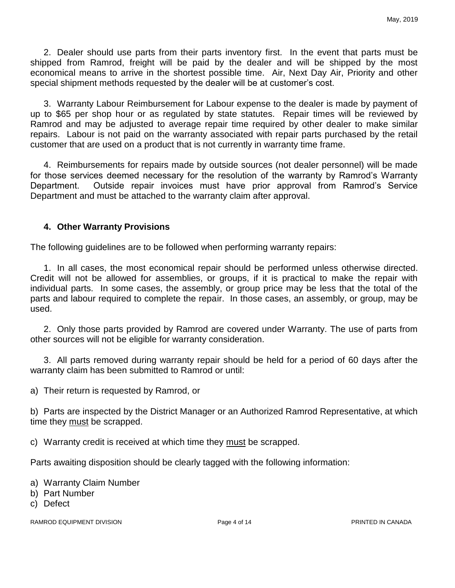2. Dealer should use parts from their parts inventory first. In the event that parts must be shipped from Ramrod, freight will be paid by the dealer and will be shipped by the most economical means to arrive in the shortest possible time. Air, Next Day Air, Priority and other special shipment methods requested by the dealer will be at customer's cost.

3. Warranty Labour Reimbursement for Labour expense to the dealer is made by payment of up to \$65 per shop hour or as regulated by state statutes. Repair times will be reviewed by Ramrod and may be adjusted to average repair time required by other dealer to make similar repairs. Labour is not paid on the warranty associated with repair parts purchased by the retail customer that are used on a product that is not currently in warranty time frame.

4. Reimbursements for repairs made by outside sources (not dealer personnel) will be made for those services deemed necessary for the resolution of the warranty by Ramrod's Warranty Department. Outside repair invoices must have prior approval from Ramrod's Service Department and must be attached to the warranty claim after approval.

#### **4. Other Warranty Provisions**

The following guidelines are to be followed when performing warranty repairs:

1. In all cases, the most economical repair should be performed unless otherwise directed. Credit will not be allowed for assemblies, or groups, if it is practical to make the repair with individual parts. In some cases, the assembly, or group price may be less that the total of the parts and labour required to complete the repair. In those cases, an assembly, or group, may be used.

2. Only those parts provided by Ramrod are covered under Warranty. The use of parts from other sources will not be eligible for warranty consideration.

3. All parts removed during warranty repair should be held for a period of 60 days after the warranty claim has been submitted to Ramrod or until:

a) Their return is requested by Ramrod, or

b) Parts are inspected by the District Manager or an Authorized Ramrod Representative, at which time they must be scrapped.

c) Warranty credit is received at which time they must be scrapped.

Parts awaiting disposition should be clearly tagged with the following information:

a) Warranty Claim Number

- b) Part Number
- c) Defect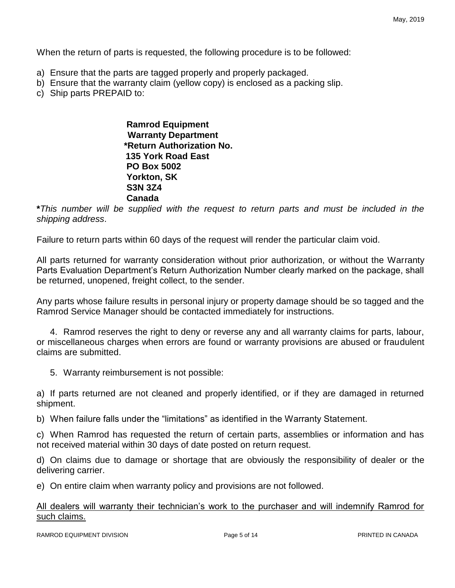When the return of parts is requested, the following procedure is to be followed:

- a) Ensure that the parts are tagged properly and properly packaged.
- b) Ensure that the warranty claim (yellow copy) is enclosed as a packing slip.
- c) Ship parts PREPAID to:

 **Ramrod Equipment Warranty Department \*Return Authorization No. 135 York Road East PO Box 5002 Yorkton, SK S3N 3Z4 Canada**

**\****This number will be supplied with the request to return parts and must be included in the shipping address*.

Failure to return parts within 60 days of the request will render the particular claim void.

All parts returned for warranty consideration without prior authorization, or without the Warranty Parts Evaluation Department's Return Authorization Number clearly marked on the package, shall be returned, unopened, freight collect, to the sender.

Any parts whose failure results in personal injury or property damage should be so tagged and the Ramrod Service Manager should be contacted immediately for instructions.

4. Ramrod reserves the right to deny or reverse any and all warranty claims for parts, labour, or miscellaneous charges when errors are found or warranty provisions are abused or fraudulent claims are submitted.

5. Warranty reimbursement is not possible:

a) If parts returned are not cleaned and properly identified, or if they are damaged in returned shipment.

b) When failure falls under the "limitations" as identified in the Warranty Statement.

c) When Ramrod has requested the return of certain parts, assemblies or information and has not received material within 30 days of date posted on return request.

d) On claims due to damage or shortage that are obviously the responsibility of dealer or the delivering carrier.

e) On entire claim when warranty policy and provisions are not followed.

All dealers will warranty their technician's work to the purchaser and will indemnify Ramrod for such claims.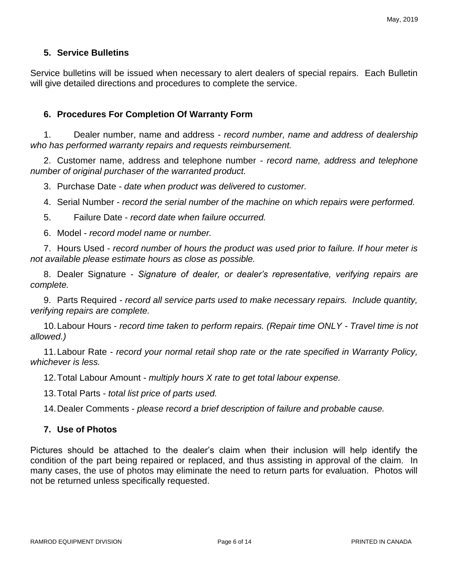#### **5. Service Bulletins**

Service bulletins will be issued when necessary to alert dealers of special repairs. Each Bulletin will give detailed directions and procedures to complete the service.

#### **6. Procedures For Completion Of Warranty Form**

1. Dealer number, name and address - *record number, name and address of dealership who has performed warranty repairs and requests reimbursement.*

2. Customer name, address and telephone number - *record name, address and telephone number of original purchaser of the warranted product.*

3. Purchase Date - *date when product was delivered to customer.*

- 4. Serial Number *record the serial number of the machine on which repairs were performed.*
- 5. Failure Date *record date when failure occurred.*
- 6. Model *record model name or number.*

7. Hours Used - *record number of hours the product was used prior to failure. If hour meter is not available please estimate hours as close as possible.*

8. Dealer Signature - *Signature of dealer, or dealer's representative, verifying repairs are complete.*

9. Parts Required - *record all service parts used to make necessary repairs. Include quantity, verifying repairs are complete.*

10.Labour Hours - *record time taken to perform repairs. (Repair time ONLY - Travel time is not allowed.)*

11.Labour Rate - *record your normal retail shop rate or the rate specified in Warranty Policy, whichever is less.*

12.Total Labour Amount - *multiply hours X rate to get total labour expense.*

13.Total Parts - *total list price of parts used.*

14.Dealer Comments - *please record a brief description of failure and probable cause.*

#### **7. Use of Photos**

Pictures should be attached to the dealer's claim when their inclusion will help identify the condition of the part being repaired or replaced, and thus assisting in approval of the claim. In many cases, the use of photos may eliminate the need to return parts for evaluation. Photos will not be returned unless specifically requested.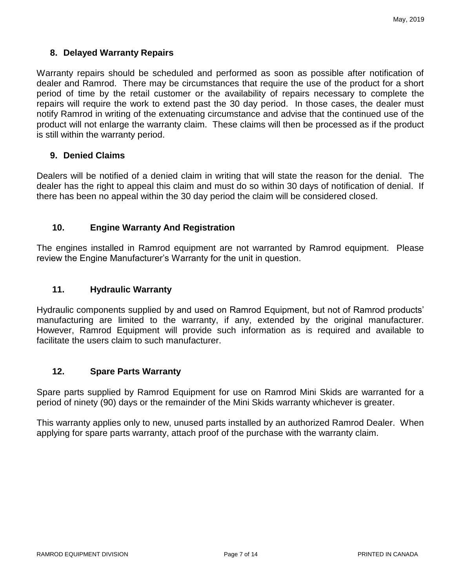#### **8. Delayed Warranty Repairs**

Warranty repairs should be scheduled and performed as soon as possible after notification of dealer and Ramrod. There may be circumstances that require the use of the product for a short period of time by the retail customer or the availability of repairs necessary to complete the repairs will require the work to extend past the 30 day period. In those cases, the dealer must notify Ramrod in writing of the extenuating circumstance and advise that the continued use of the product will not enlarge the warranty claim. These claims will then be processed as if the product is still within the warranty period.

#### **9. Denied Claims**

Dealers will be notified of a denied claim in writing that will state the reason for the denial. The dealer has the right to appeal this claim and must do so within 30 days of notification of denial. If there has been no appeal within the 30 day period the claim will be considered closed.

#### **10. Engine Warranty And Registration**

The engines installed in Ramrod equipment are not warranted by Ramrod equipment. Please review the Engine Manufacturer's Warranty for the unit in question.

#### **11. Hydraulic Warranty**

Hydraulic components supplied by and used on Ramrod Equipment, but not of Ramrod products' manufacturing are limited to the warranty, if any, extended by the original manufacturer. However, Ramrod Equipment will provide such information as is required and available to facilitate the users claim to such manufacturer.

#### **12. Spare Parts Warranty**

Spare parts supplied by Ramrod Equipment for use on Ramrod Mini Skids are warranted for a period of ninety (90) days or the remainder of the Mini Skids warranty whichever is greater.

This warranty applies only to new, unused parts installed by an authorized Ramrod Dealer. When applying for spare parts warranty, attach proof of the purchase with the warranty claim.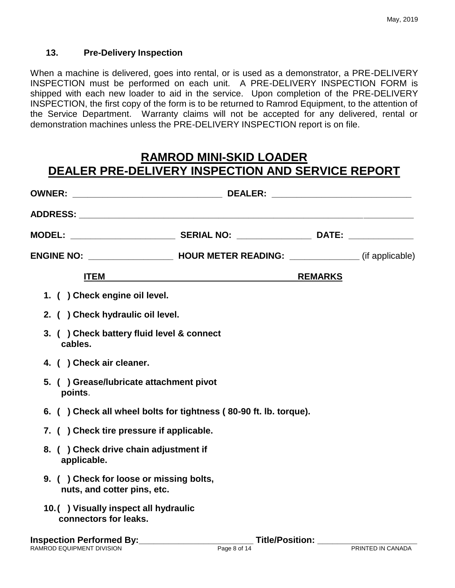### **13. Pre-Delivery Inspection**

When a machine is delivered, goes into rental, or is used as a demonstrator, a PRE-DELIVERY INSPECTION must be performed on each unit. A PRE-DELIVERY INSPECTION FORM is shipped with each new loader to aid in the service. Upon completion of the PRE-DELIVERY INSPECTION, the first copy of the form is to be returned to Ramrod Equipment, to the attention of the Service Department. Warranty claims will not be accepted for any delivered, rental or demonstration machines unless the PRE-DELIVERY INSPECTION report is on file.

# **RAMROD MINI-SKID LOADER DEALER PRE-DELIVERY INSPECTION AND SERVICE REPORT**

|                                                                        | <u>ITEM</u> <b>ITEM</b> | <b>REMARKS</b>         |  |
|------------------------------------------------------------------------|-------------------------|------------------------|--|
| 1. ( ) Check engine oil level.                                         |                         |                        |  |
| 2. ( ) Check hydraulic oil level.                                      |                         |                        |  |
| 3. ( ) Check battery fluid level & connect<br>cables.                  |                         |                        |  |
| 4. ( ) Check air cleaner.                                              |                         |                        |  |
| 5. () Grease/lubricate attachment pivot<br>points.                     |                         |                        |  |
| 6. () Check all wheel bolts for tightness (80-90 ft. lb. torque).      |                         |                        |  |
| 7. () Check tire pressure if applicable.                               |                         |                        |  |
| 8. () Check drive chain adjustment if<br>applicable.                   |                         |                        |  |
| 9. () Check for loose or missing bolts,<br>nuts, and cotter pins, etc. |                         |                        |  |
| 10.() Visually inspect all hydraulic<br>connectors for leaks.          |                         |                        |  |
| Inspection Performed By:__________________                             |                         | <b>Title/Position:</b> |  |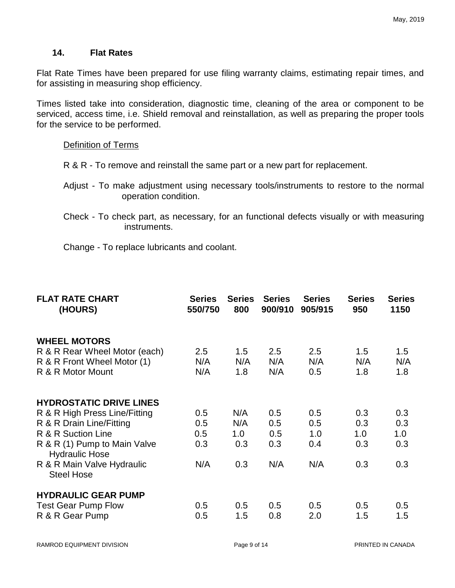#### **14. Flat Rates**

Flat Rate Times have been prepared for use filing warranty claims, estimating repair times, and for assisting in measuring shop efficiency.

Times listed take into consideration, diagnostic time, cleaning of the area or component to be serviced, access time, i.e. Shield removal and reinstallation, as well as preparing the proper tools for the service to be performed.

#### Definition of Terms

- R & R To remove and reinstall the same part or a new part for replacement.
- Adjust To make adjustment using necessary tools/instruments to restore to the normal operation condition.
- Check To check part, as necessary, for an functional defects visually or with measuring instruments.
- Change To replace lubricants and coolant.

| <b>FLAT RATE CHART</b><br>(HOURS)                     | <b>Series</b><br>550/750 | <b>Series</b><br>800 | <b>Series</b><br>900/910 | <b>Series</b><br>905/915 | <b>Series</b><br>950 | <b>Series</b><br>1150 |
|-------------------------------------------------------|--------------------------|----------------------|--------------------------|--------------------------|----------------------|-----------------------|
| <b>WHEEL MOTORS</b>                                   |                          |                      |                          |                          |                      |                       |
| R & R Rear Wheel Motor (each)                         | 2.5                      | 1.5                  | 2.5                      | 2.5                      | 1.5                  | 1.5                   |
| R & R Front Wheel Motor (1)                           | N/A                      | N/A                  | N/A                      | N/A                      | N/A                  | N/A                   |
| R & R Motor Mount                                     | N/A                      | 1.8                  | N/A                      | 0.5                      | 1.8                  | 1.8                   |
| <b>HYDROSTATIC DRIVE LINES</b>                        |                          |                      |                          |                          |                      |                       |
| R & R High Press Line/Fitting                         | 0.5                      | N/A                  | 0.5                      | 0.5                      | 0.3                  | 0.3                   |
| R & R Drain Line/Fitting                              | 0.5                      | N/A                  | 0.5                      | 0.5                      | 0.3                  | 0.3                   |
| R & R Suction Line                                    | 0.5                      | 1.0                  | 0.5                      | 1.0                      | 1.0                  | 1.0                   |
| R & R (1) Pump to Main Valve<br><b>Hydraulic Hose</b> | 0.3                      | 0.3                  | 0.3                      | 0.4                      | 0.3                  | 0.3                   |
| R & R Main Valve Hydraulic<br><b>Steel Hose</b>       | N/A                      | 0.3                  | N/A                      | N/A                      | 0.3                  | 0.3                   |
| <b>HYDRAULIC GEAR PUMP</b>                            |                          |                      |                          |                          |                      |                       |
| <b>Test Gear Pump Flow</b>                            | 0.5                      | 0.5                  | 0.5                      | 0.5                      | 0.5                  | 0.5                   |
| R & R Gear Pump                                       | 0.5                      | 1.5                  | 0.8                      | 2.0                      | 1.5                  | 1.5                   |
|                                                       |                          |                      |                          |                          |                      |                       |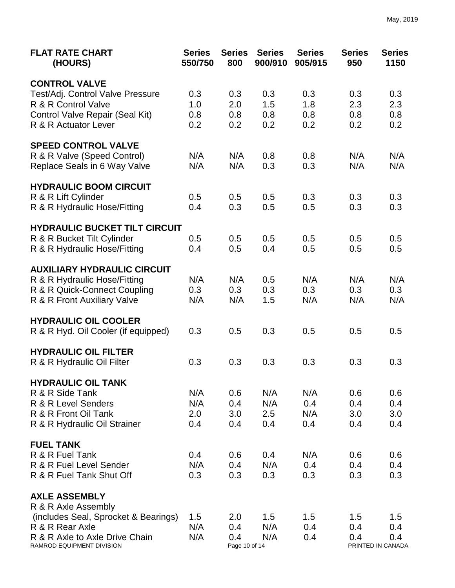| <b>FLAT RATE CHART</b><br>(HOURS)                       | <b>Series</b><br>550/750 | <b>Series</b><br>800 | <b>Series</b><br>900/910 | <b>Series</b><br>905/915 | <b>Series</b><br>950 | <b>Series</b><br>1150 |
|---------------------------------------------------------|--------------------------|----------------------|--------------------------|--------------------------|----------------------|-----------------------|
| <b>CONTROL VALVE</b>                                    |                          |                      |                          |                          |                      |                       |
| Test/Adj. Control Valve Pressure                        | 0.3                      | 0.3                  | 0.3                      | 0.3                      | 0.3                  | 0.3                   |
| R & R Control Valve                                     | 1.0                      | 2.0                  | 1.5                      | 1.8                      | 2.3                  | 2.3                   |
| Control Valve Repair (Seal Kit)                         | 0.8                      | 0.8                  | 0.8                      | 0.8                      | 0.8                  | 0.8                   |
| R & R Actuator Lever                                    | 0.2                      | 0.2                  | 0.2                      | 0.2                      | 0.2                  | 0.2                   |
| <b>SPEED CONTROL VALVE</b>                              |                          |                      |                          |                          |                      |                       |
| R & R Valve (Speed Control)                             | N/A                      | N/A                  | 0.8                      | 0.8                      | N/A                  | N/A                   |
| Replace Seals in 6 Way Valve                            | N/A                      | N/A                  | 0.3                      | 0.3                      | N/A                  | N/A                   |
| <b>HYDRAULIC BOOM CIRCUIT</b>                           |                          |                      |                          |                          |                      |                       |
| R & R Lift Cylinder                                     | 0.5                      | 0.5                  | 0.5                      | 0.3                      | 0.3                  | 0.3                   |
| R & R Hydraulic Hose/Fitting                            | 0.4                      | 0.3                  | 0.5                      | 0.5                      | 0.3                  | 0.3                   |
| <b>HYDRAULIC BUCKET TILT CIRCUIT</b>                    |                          |                      |                          |                          |                      |                       |
| R & R Bucket Tilt Cylinder                              | 0.5                      | 0.5                  | 0.5                      | 0.5                      | 0.5                  | 0.5                   |
| R & R Hydraulic Hose/Fitting                            | 0.4                      | 0.5                  | 0.4                      | 0.5                      | 0.5                  | 0.5                   |
| <b>AUXILIARY HYDRAULIC CIRCUIT</b>                      |                          |                      |                          |                          |                      |                       |
| R & R Hydraulic Hose/Fitting                            | N/A                      | N/A                  | 0.5                      | N/A                      | N/A                  | N/A                   |
| R & R Quick-Connect Coupling                            | 0.3                      | 0.3                  | 0.3                      | 0.3                      | 0.3                  | 0.3                   |
| R & R Front Auxiliary Valve                             | N/A                      | N/A                  | 1.5                      | N/A                      | N/A                  | N/A                   |
| <b>HYDRAULIC OIL COOLER</b>                             |                          |                      |                          |                          |                      |                       |
| R & R Hyd. Oil Cooler (if equipped)                     | 0.3                      | 0.5                  | 0.3                      | 0.5                      | 0.5                  | 0.5                   |
| <b>HYDRAULIC OIL FILTER</b>                             |                          |                      |                          |                          |                      |                       |
| R & R Hydraulic Oil Filter                              | 0.3                      | 0.3                  | 0.3                      | 0.3                      | 0.3                  | 0.3                   |
| <b>HYDRAULIC OIL TANK</b>                               |                          |                      |                          |                          |                      |                       |
| R & R Side Tank                                         | N/A                      | 0.6                  | N/A                      | N/A                      | 0.6                  | 0.6                   |
| R & R Level Senders                                     | N/A                      | 0.4                  | N/A                      | 0.4                      | 0.4                  | 0.4                   |
| R & R Front Oil Tank                                    | 2.0                      | 3.0                  | 2.5                      | N/A                      | 3.0                  | 3.0                   |
| R & R Hydraulic Oil Strainer                            | 0.4                      | 0.4                  | 0.4                      | 0.4                      | 0.4                  | 0.4                   |
| <b>FUEL TANK</b><br>R & R Fuel Tank                     |                          |                      |                          |                          |                      |                       |
|                                                         | 0.4                      | 0.6                  | 0.4                      | N/A                      | 0.6                  | 0.6                   |
| R & R Fuel Level Sender                                 | N/A                      | 0.4                  | N/A                      | 0.4                      | 0.4                  | 0.4                   |
| R & R Fuel Tank Shut Off                                | 0.3                      | 0.3                  | 0.3                      | 0.3                      | 0.3                  | 0.3                   |
| <b>AXLE ASSEMBLY</b>                                    |                          |                      |                          |                          |                      |                       |
| R & R Axle Assembly                                     | 1.5                      | 2.0                  | 1.5                      | 1.5                      |                      | 1.5                   |
| (includes Seal, Sprocket & Bearings)<br>R & R Rear Axle | N/A                      | 0.4                  | N/A                      | 0.4                      | 1.5<br>0.4           | 0.4                   |
| R & R Axle to Axle Drive Chain                          | N/A                      | 0.4                  | N/A                      | 0.4                      | 0.4                  | 0.4                   |
| RAMROD EQUIPMENT DIVISION                               |                          | Page 10 of 14        |                          |                          |                      | PRINTED IN CANADA     |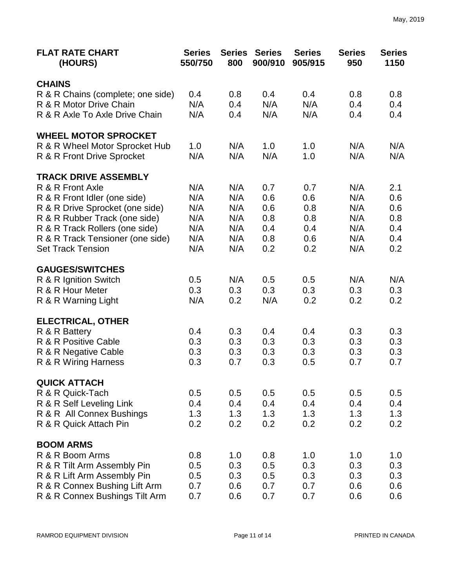| <b>FLAT RATE CHART</b><br>(HOURS) | <b>Series</b><br>550/750 | <b>Series</b><br>800 | <b>Series</b><br>900/910 | <b>Series</b><br>905/915 | <b>Series</b><br>950 | <b>Series</b><br>1150 |
|-----------------------------------|--------------------------|----------------------|--------------------------|--------------------------|----------------------|-----------------------|
| <b>CHAINS</b>                     |                          |                      |                          |                          |                      |                       |
| R & R Chains (complete; one side) | 0.4                      | 0.8                  | 0.4                      | 0.4                      | 0.8                  | 0.8                   |
| R & R Motor Drive Chain           | N/A                      | 0.4                  | N/A                      | N/A                      | 0.4                  | 0.4                   |
| R & R Axle To Axle Drive Chain    | N/A                      | 0.4                  | N/A                      | N/A                      | 0.4                  | 0.4                   |
| <b>WHEEL MOTOR SPROCKET</b>       |                          |                      |                          |                          |                      |                       |
| R & R Wheel Motor Sprocket Hub    | 1.0                      | N/A                  | 1.0                      | 1.0                      | N/A                  | N/A                   |
| R & R Front Drive Sprocket        | N/A                      | N/A                  | N/A                      | 1.0                      | N/A                  | N/A                   |
| <b>TRACK DRIVE ASSEMBLY</b>       |                          |                      |                          |                          |                      |                       |
| R & R Front Axle                  | N/A                      | N/A                  | 0.7                      | 0.7                      | N/A                  | 2.1                   |
| R & R Front Idler (one side)      | N/A                      | N/A                  | 0.6                      | 0.6                      | N/A                  | 0.6                   |
| R & R Drive Sprocket (one side)   | N/A                      | N/A                  | 0.6                      | 0.8                      | N/A                  | 0.6                   |
| R & R Rubber Track (one side)     | N/A                      | N/A                  | 0.8                      | 0.8                      | N/A                  | 0.8                   |
| R & R Track Rollers (one side)    | N/A                      | N/A                  | 0.4                      | 0.4                      | N/A                  | 0.4                   |
| R & R Track Tensioner (one side)  | N/A                      | N/A                  | 0.8                      | 0.6                      | N/A                  | 0.4                   |
| <b>Set Track Tension</b>          | N/A                      | N/A                  | 0.2                      | 0.2                      | N/A                  | 0.2                   |
| <b>GAUGES/SWITCHES</b>            |                          |                      |                          |                          |                      |                       |
| R & R Ignition Switch             | 0.5                      | N/A                  | 0.5                      | 0.5                      | N/A                  | N/A                   |
| R & R Hour Meter                  | 0.3                      | 0.3                  | 0.3                      | 0.3                      | 0.3                  | 0.3                   |
| R & R Warning Light               | N/A                      | 0.2                  | N/A                      | 0.2                      | 0.2                  | 0.2                   |
| <b>ELECTRICAL, OTHER</b>          |                          |                      |                          |                          |                      |                       |
| R & R Battery                     | 0.4                      | 0.3                  | 0.4                      | 0.4                      | 0.3                  | 0.3                   |
| R & R Positive Cable              | 0.3                      | 0.3                  | 0.3                      | 0.3                      | 0.3                  | 0.3                   |
| R & R Negative Cable              | 0.3                      | 0.3                  | 0.3                      | 0.3                      | 0.3                  | 0.3                   |
| R & R Wiring Harness              | 0.3                      | 0.7                  | 0.3                      | 0.5                      | 0.7                  | 0.7                   |
| <b>QUICK ATTACH</b>               |                          |                      |                          |                          |                      |                       |
| R & R Quick-Tach                  | 0.5                      | 0.5                  | 0.5                      | 0.5                      | 0.5                  | 0.5                   |
| R & R Self Leveling Link          | 0.4                      | 0.4                  | 0.4                      | 0.4                      | 0.4                  | 0.4                   |
| R & R All Connex Bushings         | 1.3                      | 1.3                  | 1.3                      | 1.3                      | 1.3                  | 1.3                   |
| R & R Quick Attach Pin            | 0.2                      | 0.2                  | 0.2                      | 0.2                      | 0.2                  | 0.2                   |
| <b>BOOM ARMS</b>                  |                          |                      |                          |                          |                      |                       |
| R & R Boom Arms                   | 0.8                      | 1.0                  | 0.8                      | 1.0                      | 1.0                  | 1.0                   |
| R & R Tilt Arm Assembly Pin       | 0.5                      | 0.3                  | 0.5                      | 0.3                      | 0.3                  | 0.3                   |
| R & R Lift Arm Assembly Pin       | 0.5                      | 0.3                  | 0.5                      | 0.3                      | 0.3                  | 0.3                   |
| R & R Connex Bushing Lift Arm     | 0.7                      | 0.6                  | 0.7                      | 0.7                      | 0.6                  | 0.6                   |
| R & R Connex Bushings Tilt Arm    | 0.7                      | 0.6                  | 0.7                      | 0.7                      | 0.6                  | 0.6                   |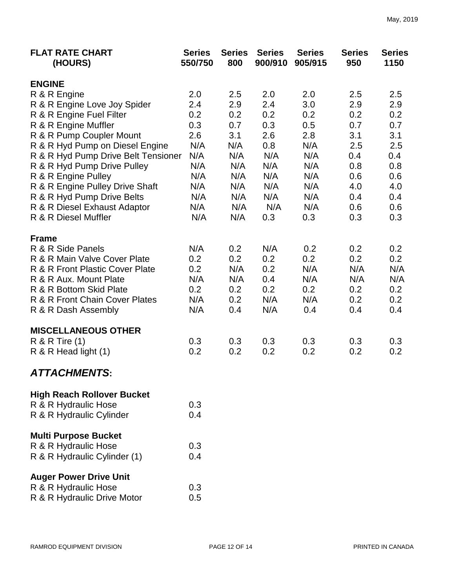| <b>FLAT RATE CHART</b><br>(HOURS)   | <b>Series</b><br>550/750 | <b>Series</b><br>800 | <b>Series</b><br>900/910 | <b>Series</b><br>905/915 | <b>Series</b><br>950 | <b>Series</b><br>1150 |
|-------------------------------------|--------------------------|----------------------|--------------------------|--------------------------|----------------------|-----------------------|
| <b>ENGINE</b>                       |                          |                      |                          |                          |                      |                       |
| R & R Engine                        | 2.0                      | 2.5                  | 2.0                      | 2.0                      | 2.5                  | 2.5                   |
| R & R Engine Love Joy Spider        | 2.4                      | 2.9                  | 2.4                      | 3.0                      | 2.9                  | 2.9                   |
| R & R Engine Fuel Filter            | 0.2                      | 0.2                  | 0.2                      | 0.2                      | 0.2                  | 0.2                   |
| R & R Engine Muffler                | 0.3                      | 0.7                  | 0.3                      | 0.5                      | 0.7                  | 0.7                   |
| R & R Pump Coupler Mount            | 2.6                      | 3.1                  | 2.6                      | 2.8                      | 3.1                  | 3.1                   |
| R & R Hyd Pump on Diesel Engine     | N/A                      | N/A                  | 0.8                      | N/A                      | 2.5                  | 2.5                   |
| R & R Hyd Pump Drive Belt Tensioner | N/A                      | N/A                  | N/A                      | N/A                      | 0.4                  | 0.4                   |
| R & R Hyd Pump Drive Pulley         | N/A                      | N/A                  | N/A                      | N/A                      | 0.8                  | 0.8                   |
| R & R Engine Pulley                 | N/A                      | N/A                  | N/A                      | N/A                      | 0.6                  | 0.6                   |
| R & R Engine Pulley Drive Shaft     | N/A                      | N/A                  | N/A                      | N/A                      | 4.0                  | 4.0                   |
| R & R Hyd Pump Drive Belts          | N/A                      | N/A                  | N/A                      | N/A                      | 0.4                  | 0.4                   |
| R & R Diesel Exhaust Adaptor        | N/A                      | N/A                  | N/A                      | N/A                      | 0.6                  | 0.6                   |
| R & R Diesel Muffler                | N/A                      | N/A                  | 0.3                      | 0.3                      | 0.3                  | 0.3                   |
| <b>Frame</b>                        |                          |                      |                          |                          |                      |                       |
| R & R Side Panels                   | N/A                      | 0.2                  | N/A                      | 0.2                      | 0.2                  | 0.2                   |
| R & R Main Valve Cover Plate        | 0.2                      | 0.2                  | 0.2                      | 0.2                      | 0.2                  | 0.2                   |
| R & R Front Plastic Cover Plate     | 0.2                      | N/A                  | 0.2                      | N/A                      | N/A                  | N/A                   |
| R & R Aux. Mount Plate              | N/A                      | N/A                  | 0.4                      | N/A                      | N/A                  | N/A                   |
| R & R Bottom Skid Plate             | 0.2                      | 0.2                  | 0.2                      | 0.2                      | 0.2                  | 0.2                   |
| R & R Front Chain Cover Plates      | N/A                      | 0.2                  | N/A                      | N/A                      | 0.2                  | 0.2                   |
| R & R Dash Assembly                 | N/A                      | 0.4                  | N/A                      | 0.4                      | 0.4                  | 0.4                   |
| <b>MISCELLANEOUS OTHER</b>          |                          |                      |                          |                          |                      |                       |
| <b>R &amp; R Tire (1)</b>           | 0.3                      | 0.3                  | 0.3                      | 0.3                      | 0.3                  | 0.3                   |
| R & R Head light (1)                | 0.2                      | 0.2                  | 0.2                      | 0.2                      | 0.2                  | 0.2                   |
| <b>ATTACHMENTS:</b>                 |                          |                      |                          |                          |                      |                       |
| <b>High Reach Rollover Bucket</b>   |                          |                      |                          |                          |                      |                       |
| R & R Hydraulic Hose                | 0.3                      |                      |                          |                          |                      |                       |
| R & R Hydraulic Cylinder            | 0.4                      |                      |                          |                          |                      |                       |
| <b>Multi Purpose Bucket</b>         |                          |                      |                          |                          |                      |                       |
| R & R Hydraulic Hose                | 0.3                      |                      |                          |                          |                      |                       |
| R & R Hydraulic Cylinder (1)        | 0.4                      |                      |                          |                          |                      |                       |
| <b>Auger Power Drive Unit</b>       |                          |                      |                          |                          |                      |                       |
| R & R Hydraulic Hose                | 0.3                      |                      |                          |                          |                      |                       |

R & R Hydraulic Drive Motor 0.5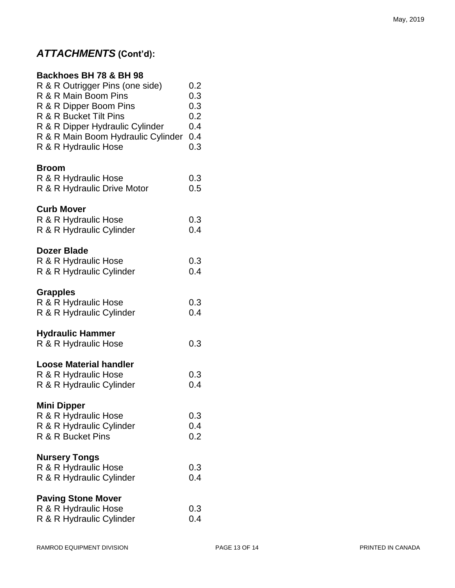| Backhoes BH 78 & BH 98<br>R & R Outrigger Pins (one side)<br>R & R Main Boom Pins<br>R & R Dipper Boom Pins<br>R & R Bucket Tilt Pins<br>R & R Dipper Hydraulic Cylinder<br>R & R Main Boom Hydraulic Cylinder<br>R & R Hydraulic Hose | 0.2<br>0.3<br>0.3<br>0.2<br>0.4<br>0.4<br>0.3 |
|----------------------------------------------------------------------------------------------------------------------------------------------------------------------------------------------------------------------------------------|-----------------------------------------------|
| <b>Broom</b><br>R & R Hydraulic Hose<br>R & R Hydraulic Drive Motor                                                                                                                                                                    | 0.3<br>0.5                                    |
| <b>Curb Mover</b><br>R & R Hydraulic Hose<br>R & R Hydraulic Cylinder                                                                                                                                                                  | 0.3<br>0.4                                    |
| <b>Dozer Blade</b><br>R & R Hydraulic Hose<br>R & R Hydraulic Cylinder                                                                                                                                                                 | 0.3<br>0.4                                    |
| <b>Grapples</b><br>R & R Hydraulic Hose<br>R & R Hydraulic Cylinder                                                                                                                                                                    | 0.3<br>0.4                                    |
| <b>Hydraulic Hammer</b><br>R & R Hydraulic Hose                                                                                                                                                                                        | 0.3                                           |
| <b>Loose Material handler</b><br>R & R Hydraulic Hose<br>R & R Hydraulic Cylinder                                                                                                                                                      | 0.3<br>0.4                                    |
| <b>Mini Dipper</b><br>R & R Hydraulic Hose<br>R & R Hydraulic Cylinder<br>R & R Bucket Pins                                                                                                                                            | 0.3<br>0.4<br>0.2                             |
| <b>Nursery Tongs</b><br>R & R Hydraulic Hose<br>R & R Hydraulic Cylinder                                                                                                                                                               | 0.3<br>0.4                                    |
| <b>Paving Stone Mover</b><br>R & R Hydraulic Hose<br>R & R Hydraulic Cylinder                                                                                                                                                          | 0.3<br>0.4                                    |